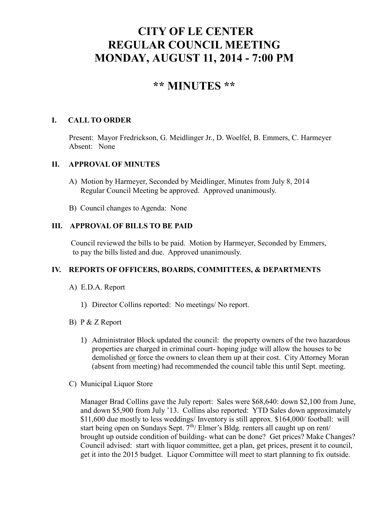# **CITY OF LE CENTER REGULAR COUNCIL MEETING MONDAY, AUGUST 11, 2014 - 7:00 PM**

# **\*\* MINUTES \*\***

# **I. CALL TO ORDER**

Present: Mayor Fredrickson, G. Meidlinger Jr., D. Woelfel, B. Emmers, C. Harmeyer Absent: None

## **II. APPROVAL OF MINUTES**

- A) Motion by Harmeyer, Seconded by Meidlinger, Minutes from July 8, 2014 Regular Council Meeting be approved. Approved unanimously.
- B) Council changes to Agenda: None

# **III. APPROVAL OF BILLS TO BE PAID**

Council reviewed the bills to be paid. Motion by Harmeyer, Seconded by Emmers, to pay the bills listed and due. Approved unanimously.

## **IV. REPORTS OF OFFICERS, BOARDS, COMMITTEES, & DEPARTMENTS**

- A) E.D.A. Report
	- 1) Director Collins reported: No meetings/ No report.

## B) P & Z Report

- 1) Administrator Block updated the council: the property owners of the two hazardous properties are charged in criminal court- hoping judge will allow the houses to be demolished or force the owners to clean them up at their cost. City Attorney Moran (absent from meeting) had recommended the council table this until Sept. meeting.
- C) Municipal Liquor Store

Manager Brad Collins gave the July report: Sales were \$68,640: down \$2,100 from June, and down \$5,900 from July '13. Collins also reported: YTD Sales down approximately \$11,600 due mostly to less weddings/ Inventory is still approx. \$164,000/ football: will start being open on Sundays Sept.  $7<sup>th</sup>/$  Elmer's Bldg. renters all caught up on rent/ brought up outside condition of building- what can be done? Get prices? Make Changes? Council advised: start with liquor committee, get a plan, get prices, present it to council, get it into the 2015 budget. Liquor Committee will meet to start planning to fix outside.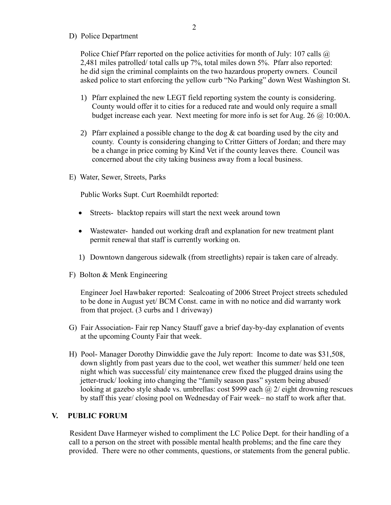#### D) Police Department

Police Chief Pfarr reported on the police activities for month of July: 107 calls  $\omega$ 2,481 miles patrolled/ total calls up 7%, total miles down 5%. Pfarr also reported: he did sign the criminal complaints on the two hazardous property owners. Council asked police to start enforcing the yellow curb "No Parking" down West Washington St.

- 1) Pfarr explained the new LEGT field reporting system the county is considering. County would offer it to cities for a reduced rate and would only require a small budget increase each year. Next meeting for more info is set for Aug. 26 @ 10:00A.
- 2) Pfarr explained a possible change to the dog  $&$  cat boarding used by the city and county. County is considering changing to Critter Gitters of Jordan; and there may be a change in price coming by Kind Vet if the county leaves there. Council was concerned about the city taking business away from a local business.
- E) Water, Sewer, Streets, Parks

Public Works Supt. Curt Roemhildt reported:

- Streets- blacktop repairs will start the next week around town
- Wastewater- handed out working draft and explanation for new treatment plant permit renewal that staff is currently working on.
- 1) Downtown dangerous sidewalk (from streetlights) repair is taken care of already.
- F) Bolton & Menk Engineering

 Engineer Joel Hawbaker reported: Sealcoating of 2006 Street Project streets scheduled to be done in August yet/ BCM Const. came in with no notice and did warranty work from that project. (3 curbs and 1 driveway)

- G) Fair Association- Fair rep Nancy Stauff gave a brief day-by-day explanation of events at the upcoming County Fair that week.
- H) Pool- Manager Dorothy Dinwiddie gave the July report: Income to date was \$31,508, down slightly from past years due to the cool, wet weather this summer/ held one teen night which was successful/ city maintenance crew fixed the plugged drains using the jetter-truck/ looking into changing the "family season pass" system being abused/ looking at gazebo style shade vs. umbrellas: cost \$999 each @ 2/ eight drowning rescues by staff this year/ closing pool on Wednesday of Fair week– no staff to work after that.

## **V. PUBLIC FORUM**

Resident Dave Harmeyer wished to compliment the LC Police Dept. for their handling of a call to a person on the street with possible mental health problems; and the fine care they provided. There were no other comments, questions, or statements from the general public.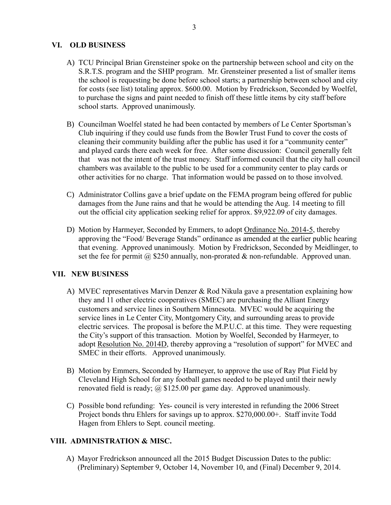# **VI. OLD BUSINESS**

- A) TCU Principal Brian Grensteiner spoke on the partnership between school and city on the S.R.T.S. program and the SHIP program. Mr. Grensteiner presented a list of smaller items the school is requesting be done before school starts; a partnership between school and city for costs (see list) totaling approx. \$600.00. Motion by Fredrickson, Seconded by Woelfel, to purchase the signs and paint needed to finish off these little items by city staff before school starts. Approved unanimously.
- B) Councilman Woelfel stated he had been contacted by members of Le Center Sportsman's Club inquiring if they could use funds from the Bowler Trust Fund to cover the costs of cleaning their community building after the public has used it for a "community center" and played cards there each week for free. After some discussion: Council generally felt that was not the intent of the trust money. Staff informed council that the city hall council chambers was available to the public to be used for a community center to play cards or other activities for no charge. That information would be passed on to those involved.
- C) Administrator Collins gave a brief update on the FEMA program being offered for public damages from the June rains and that he would be attending the Aug. 14 meeting to fill out the official city application seeking relief for approx. \$9,922.09 of city damages.
- D) Motion by Harmeyer, Seconded by Emmers, to adopt Ordinance No. 2014-5, thereby approving the "Food/ Beverage Stands" ordinance as amended at the earlier public hearing that evening. Approved unanimously. Motion by Fredrickson, Seconded by Meidlinger, to set the fee for permit  $\omega$  \$250 annually, non-prorated & non-refundable. Approved unan.

# **VII. NEW BUSINESS**

- A) MVEC representatives Marvin Denzer & Rod Nikula gave a presentation explaining how they and 11 other electric cooperatives (SMEC) are purchasing the Alliant Energy customers and service lines in Southern Minnesota. MVEC would be acquiring the service lines in Le Center City, Montgomery City, and surrounding areas to provide electric services. The proposal is before the M.P.U.C. at this time. They were requesting the City's support of this transaction. Motion by Woelfel, Seconded by Harmeyer, to adopt Resolution No. 2014D, thereby approving a "resolution of support" for MVEC and SMEC in their efforts. Approved unanimously.
- B) Motion by Emmers, Seconded by Harmeyer, to approve the use of Ray Plut Field by Cleveland High School for any football games needed to be played until their newly renovated field is ready; @ \$125.00 per game day. Approved unanimously.
- C) Possible bond refunding: Yes- council is very interested in refunding the 2006 Street Project bonds thru Ehlers for savings up to approx. \$270,000.00+. Staff invite Todd Hagen from Ehlers to Sept. council meeting.

## **VIII. ADMINISTRATION & MISC.**

A) Mayor Fredrickson announced all the 2015 Budget Discussion Dates to the public: (Preliminary) September 9, October 14, November 10, and (Final) December 9, 2014.